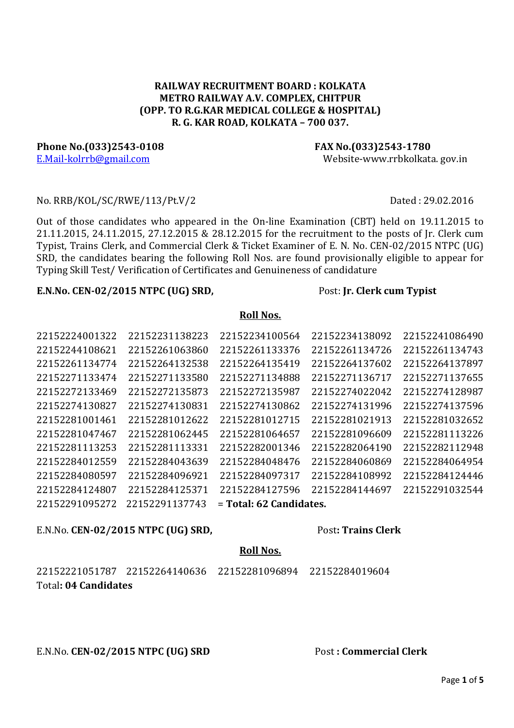### RAILWAY RECRUITMENT BOARD : KOLKATA METRO RAILWAY A.V. COMPLEX, CHITPUR (OPP. TO R.G.KAR MEDICAL COLLEGE & HOSPITAL) R. G. KAR ROAD, KOLKATA – 700 037.

Phone No.(033)2543-0108 FAX No.(033)2543-1780 E.Mail-kolrrb@gmail.com Website-www.rrbkolkata. gov.in

#### No. RRB/KOL/SC/RWE/113/Pt.V/2 Dated : 29.02.2016

Out of those candidates who appeared in the On-line Examination (CBT) held on 19.11.2015 to 21.11.2015, 24.11.2015, 27.12.2015 & 28.12.2015 for the recruitment to the posts of Jr. Clerk cum Typist, Trains Clerk, and Commercial Clerk & Ticket Examiner of E. N. No. CEN-02/2015 NTPC (UG) SRD, the candidates bearing the following Roll Nos. are found provisionally eligible to appear for Typing Skill Test/ Verification of Certificates and Genuineness of candidature

#### E.N.No. CEN-02/2015 NTPC (UG) SRD, Post: Jr. Clerk cum Typist

| 22152224001322 | 22152231138223 | 22152234100564            | 22152234138092 | 22152241086490 |
|----------------|----------------|---------------------------|----------------|----------------|
| 22152244108621 | 22152261063860 | 22152261133376            | 22152261134726 | 22152261134743 |
| 22152261134774 | 22152264132538 | 22152264135419            | 22152264137602 | 22152264137897 |
| 22152271133474 | 22152271133580 | 22152271134888            | 22152271136717 | 22152271137655 |
| 22152272133469 | 22152272135873 | 22152272135987            | 22152274022042 | 22152274128987 |
| 22152274130827 | 22152274130831 | 22152274130862            | 22152274131996 | 22152274137596 |
| 22152281001461 | 22152281012622 | 22152281012715            | 22152281021913 | 22152281032652 |
| 22152281047467 | 22152281062445 | 22152281064657            | 22152281096609 | 22152281113226 |
| 22152281113253 | 22152281113331 | 22152282001346            | 22152282064190 | 22152282112948 |
| 22152284012559 | 22152284043639 | 22152284048476            | 22152284060869 | 22152284064954 |
| 22152284080597 | 22152284096921 | 22152284097317            | 22152284108992 | 22152284124446 |
| 22152284124807 | 22152284125371 | 22152284127596            | 22152284144697 | 22152291032544 |
| 22152291095272 | 22152291137743 | $=$ Total: 62 Candidates. |                |                |

### E.N.No. CEN-02/2015 NTPC (UG) SRD, Post: Trains Clerk

# Roll Nos.

22152221051787 22152264140636 22152281096894 22152284019604 Total: 04 Candidates

# E.N.No. CEN-02/2015 NTPC (UG) SRD Post : Commercial Clerk

# Roll Nos.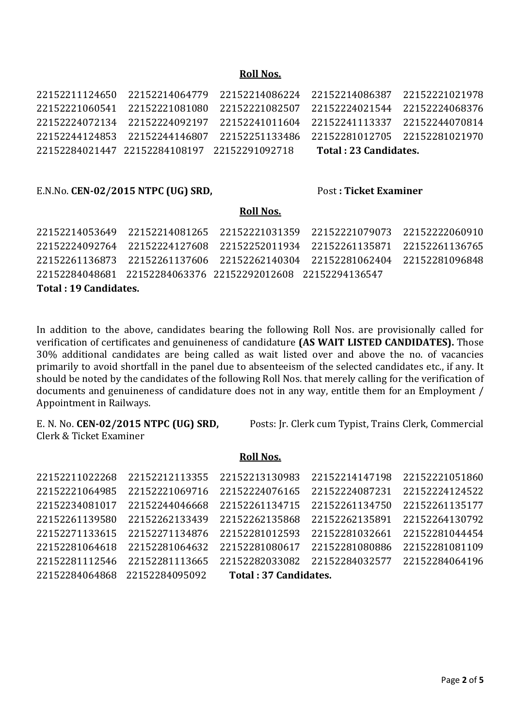#### Roll Nos.

|                                              | 22152211124650 22152214064779 22152214086224 22152214086387 22152221021978 |                        |  |
|----------------------------------------------|----------------------------------------------------------------------------|------------------------|--|
|                                              | 22152221060541 22152221081080 22152221082507 22152224021544 22152224068376 |                        |  |
|                                              | 22152224072134 22152224092197 22152241011604 22152241113337 22152244070814 |                        |  |
|                                              | 22152244124853 22152244146807 22152251133486 22152281012705 22152281021970 |                        |  |
| 22152284021447 22152284108197 22152291092718 |                                                                            | Total : 23 Candidates. |  |

#### E.N.No. CEN-02/2015 NTPC (UG) SRD, Post : Ticket Examiner

#### Roll Nos.

| Total: 19 Candidates. |                                                             |                                                                            |  |
|-----------------------|-------------------------------------------------------------|----------------------------------------------------------------------------|--|
|                       | 22152284048681 22152284063376 22152292012608 22152294136547 |                                                                            |  |
|                       |                                                             | 22152261136873 22152261137606 22152262140304 22152281062404 22152281096848 |  |
|                       |                                                             | 22152224092764 22152224127608 22152252011934 22152261135871 22152261136765 |  |
|                       |                                                             | 22152214053649 22152214081265 22152221031359 22152221079073 22152222060910 |  |
|                       |                                                             |                                                                            |  |

In addition to the above, candidates bearing the following Roll Nos. are provisionally called for verification of certificates and genuineness of candidature (AS WAIT LISTED CANDIDATES). Those 30% additional candidates are being called as wait listed over and above the no. of vacancies primarily to avoid shortfall in the panel due to absenteeism of the selected candidates etc., if any. It should be noted by the candidates of the following Roll Nos. that merely calling for the verification of documents and genuineness of candidature does not in any way, entitle them for an Employment / Appointment in Railways.

Clerk & Ticket Examiner

E. N. No. CEN-02/2015 NTPC (UG) SRD, Posts: Jr. Clerk cum Typist, Trains Clerk, Commercial

#### Roll Nos.

| 22152211022268 | 22152212113355                |                       | 22152213130983 22152214147198 | 22152221051860 |
|----------------|-------------------------------|-----------------------|-------------------------------|----------------|
| 22152221064985 | 22152221069716                | 22152224076165        | 22152224087231                | 22152224124522 |
| 22152234081017 | 22152244046668                | 22152261134715        | 22152261134750                | 22152261135177 |
| 22152261139580 | 22152262133439                | 22152262135868        | 22152262135891                | 22152264130792 |
| 22152271133615 | 22152271134876                | 22152281012593        | 22152281032661                | 22152281044454 |
| 22152281064618 | 22152281064632                | 22152281080617        | 22152281080886                | 22152281081109 |
| 22152281112546 | 22152281113665                |                       | 22152282033082 22152284032577 | 22152284064196 |
|                | 22152284064868 22152284095092 | Total: 37 Candidates. |                               |                |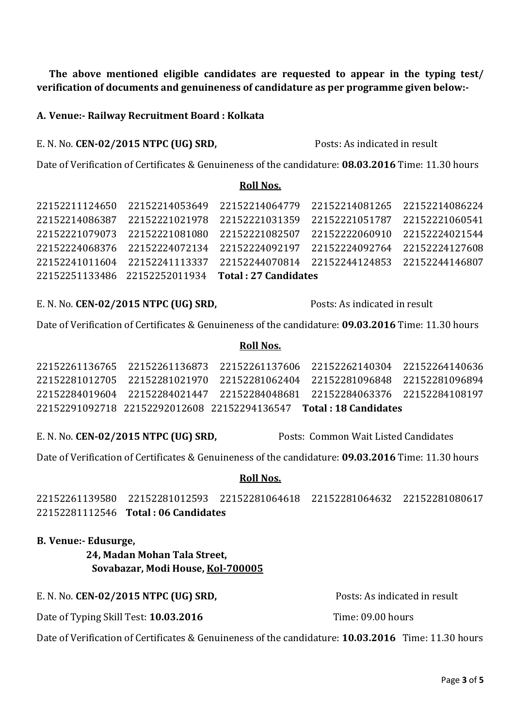The above mentioned eligible candidates are requested to appear in the typing test/ verification of documents and genuineness of candidature as per programme given below:-

#### A. Venue:- Railway Recruitment Board : Kolkata

#### E. N. No. CEN-02/2015 NTPC (UG) SRD, Posts: As indicated in result

Date of Verification of Certificates & Genuineness of the candidature: 08.03.2016 Time: 11.30 hours

#### Roll Nos.

| 22152211124650 | 22152214053649                |                      | 22152214064779 22152214081265 22152214086224 |  |
|----------------|-------------------------------|----------------------|----------------------------------------------|--|
| 22152214086387 | 22152221021978                |                      | 22152221031359 22152221051787 22152221060541 |  |
| 22152221079073 | 22152221081080                |                      | 22152221082507 22152222060910 22152224021544 |  |
|                | 22152224068376 22152224072134 |                      | 22152224092197 22152224092764 22152224127608 |  |
|                | 22152241011604 22152241113337 |                      | 22152244070814 22152244124853 22152244146807 |  |
|                | 22152251133486 22152252011934 | Total: 27 Candidates |                                              |  |

E. N. No. CEN-02/2015 NTPC (UG) SRD, Posts: As indicated in result

Date of Verification of Certificates & Genuineness of the candidature: 09.03.2016 Time: 11.30 hours

#### Roll Nos.

|  | 22152261136765 22152261136873 22152261137606 22152262140304 22152264140636 |  |
|--|----------------------------------------------------------------------------|--|
|  | 22152281012705 22152281021970 22152281062404 22152281096848 22152281096894 |  |
|  | 22152284019604 22152284021447 22152284048681 22152284063376 22152284108197 |  |
|  | 22152291092718 22152292012608 22152294136547 <b>Total: 18 Candidates</b>   |  |

E. N. No. CEN-02/2015 NTPC (UG) SRD, Posts: Common Wait Listed Candidates

Date of Verification of Certificates & Genuineness of the candidature: 09.03.2016 Time: 11.30 hours

### Roll Nos.

22152261139580 22152281012593 22152281064618 22152281064632 22152281080617 22152281112546 Total : 06 Candidates

#### B. Venue:- Edusurge,

 24, Madan Mohan Tala Street, Sovabazar, Modi House, Kol-700005

E. N. No. CEN-02/2015 NTPC (UG) SRD, Posts: As indicated in result

Date of Typing Skill Test: 10.03.2016 Time: 09.00 hours

Date of Verification of Certificates & Genuineness of the candidature: 10.03.2016 Time: 11.30 hours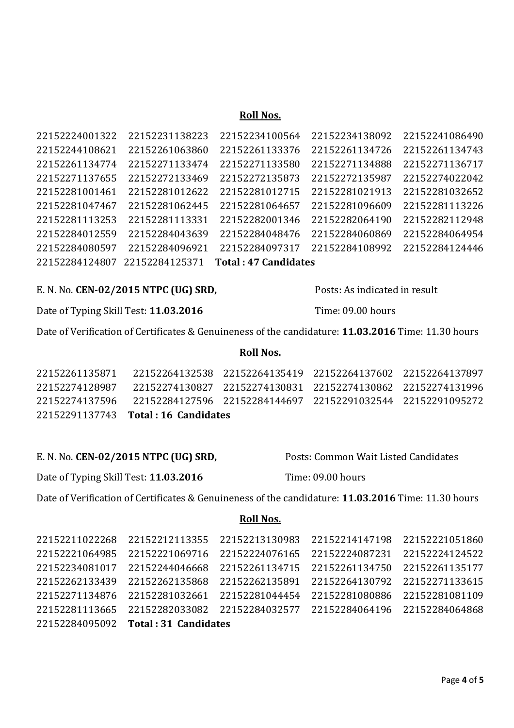#### Roll Nos.

| 22152224001322 | 22152231138223 | 22152234100564              | 22152234138092 | 22152241086490 |
|----------------|----------------|-----------------------------|----------------|----------------|
| 22152244108621 | 22152261063860 | 22152261133376              | 22152261134726 | 22152261134743 |
| 22152261134774 | 22152271133474 | 22152271133580              | 22152271134888 | 22152271136717 |
| 22152271137655 | 22152272133469 | 22152272135873              | 22152272135987 | 22152274022042 |
| 22152281001461 | 22152281012622 | 22152281012715              | 22152281021913 | 22152281032652 |
| 22152281047467 | 22152281062445 | 22152281064657              | 22152281096609 | 22152281113226 |
| 22152281113253 | 22152281113331 | 22152282001346              | 22152282064190 | 22152282112948 |
| 22152284012559 | 22152284043639 | 22152284048476              | 22152284060869 | 22152284064954 |
| 22152284080597 | 22152284096921 | 22152284097317              | 22152284108992 | 22152284124446 |
| 22152284124807 | 22152284125371 | <b>Total: 47 Candidates</b> |                |                |

# E. N. No. CEN-02/2015 NTPC (UG) SRD, Posts: As indicated in result

Date of Typing Skill Test: 11.03.2016 Time: 09.00 hours

Date of Verification of Certificates & Genuineness of the candidature: 11.03.2016 Time: 11.30 hours

#### Roll Nos.

|                | 22152291137743 Total: 16 Candidates                                        |  |  |
|----------------|----------------------------------------------------------------------------|--|--|
|                | 22152274137596 22152284127596 22152284144697 22152291032544 22152291095272 |  |  |
| 22152274128987 | 22152274130827 22152274130831 22152274130862 22152274131996                |  |  |
| 22152261135871 | 22152264132538 22152264135419 22152264137602 22152264137897                |  |  |

# E. N. No. CEN-02/2015 NTPC (UG) SRD, Posts: Common Wait Listed Candidates

Date of Typing Skill Test: 11.03.2016 Time: 09.00 hours

Date of Verification of Certificates & Genuineness of the candidature: 11.03.2016 Time: 11.30 hours

Roll Nos.

| 22152211022268 | 22152212113355                      | 22152213130983 | 22152214147198                | 22152221051860 |
|----------------|-------------------------------------|----------------|-------------------------------|----------------|
| 22152221064985 | 22152221069716                      | 22152224076165 | 22152224087231                | 22152224124522 |
| 22152234081017 | 22152244046668                      | 22152261134715 | 22152261134750                | 22152261135177 |
| 22152262133439 | 22152262135868                      | 22152262135891 | 22152264130792                | 22152271133615 |
| 22152271134876 | 22152281032661                      | 22152281044454 | 22152281080886                | 22152281081109 |
| 22152281113665 | 22152282033082                      | 22152284032577 | 22152284064196 22152284064868 |                |
|                | 22152284095092 Total: 31 Candidates |                |                               |                |